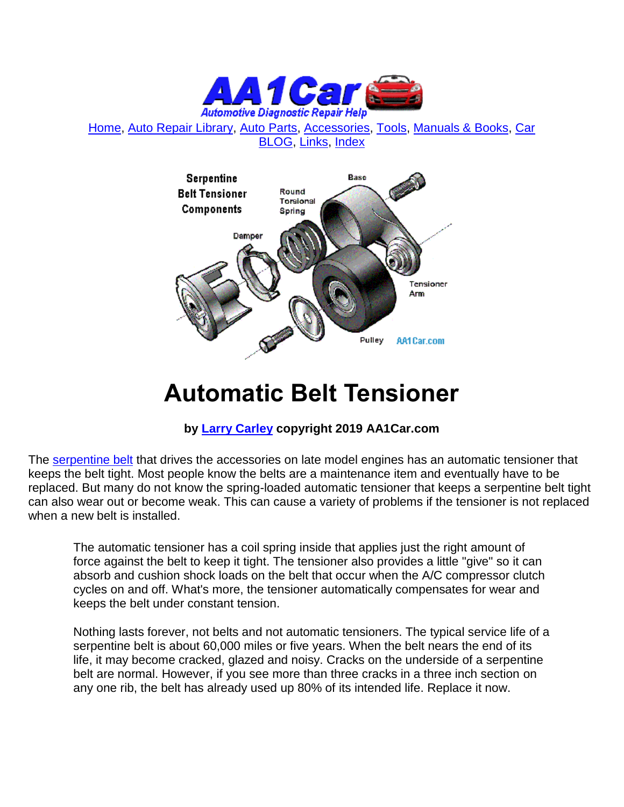

[Home,](http://www.aa1car.com/) [Auto Repair Library,](http://www.aa1car.com/library.htm) [Auto Parts,](http://www.aa1car.com/links_parts.htm) [Accessories,](http://www.aa1car.com/links_accessories.htm) [Tools,](http://www.aa1car.com/links_tools.htm) [Manuals & Books,](http://www.aa1car.com/links_books.htm) [Car](http://www.aa1car.com/blog/blog.htm)  [BLOG,](http://www.aa1car.com/blog/blog.htm) [Links,](http://www.aa1car.com/links.htm) [Index](http://www.aa1car.com/index_alphabetical.htm)



# **Automatic Belt Tensioner**

## **by [Larry Carley](https://www.aa1car.com/larrypage/larrycarley_photos.htm) copyright 2019 AA1Car.com**

The [serpentine belt](http://www.aa1car.com/library/serpentine_belt.htm) that drives the accessories on late model engines has an automatic tensioner that keeps the belt tight. Most people know the belts are a maintenance item and eventually have to be replaced. But many do not know the spring-loaded automatic tensioner that keeps a serpentine belt tight can also wear out or become weak. This can cause a variety of problems if the tensioner is not replaced when a new belt is installed.

The automatic tensioner has a coil spring inside that applies just the right amount of force against the belt to keep it tight. The tensioner also provides a little "give" so it can absorb and cushion shock loads on the belt that occur when the A/C compressor clutch cycles on and off. What's more, the tensioner automatically compensates for wear and keeps the belt under constant tension.

Nothing lasts forever, not belts and not automatic tensioners. The typical service life of a serpentine belt is about 60,000 miles or five years. When the belt nears the end of its life, it may become cracked, glazed and noisy. Cracks on the underside of a serpentine belt are normal. However, if you see more than three cracks in a three inch section on any one rib, the belt has already used up 80% of its intended life. Replace it now.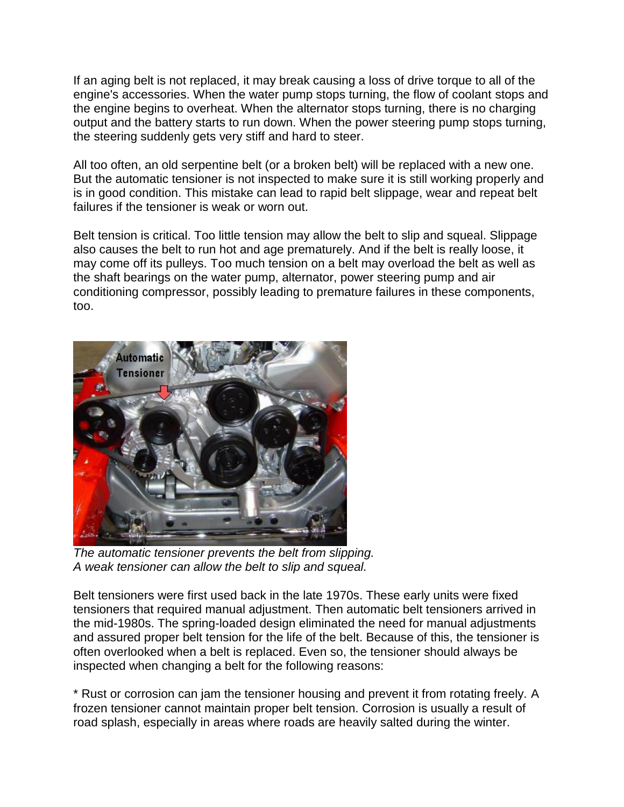If an aging belt is not replaced, it may break causing a loss of drive torque to all of the engine's accessories. When the water pump stops turning, the flow of coolant stops and the engine begins to overheat. When the alternator stops turning, there is no charging output and the battery starts to run down. When the power steering pump stops turning, the steering suddenly gets very stiff and hard to steer.

All too often, an old serpentine belt (or a broken belt) will be replaced with a new one. But the automatic tensioner is not inspected to make sure it is still working properly and is in good condition. This mistake can lead to rapid belt slippage, wear and repeat belt failures if the tensioner is weak or worn out.

Belt tension is critical. Too little tension may allow the belt to slip and squeal. Slippage also causes the belt to run hot and age prematurely. And if the belt is really loose, it may come off its pulleys. Too much tension on a belt may overload the belt as well as the shaft bearings on the water pump, alternator, power steering pump and air conditioning compressor, possibly leading to premature failures in these components, too.



*The automatic tensioner prevents the belt from slipping. A weak tensioner can allow the belt to slip and squeal.*

Belt tensioners were first used back in the late 1970s. These early units were fixed tensioners that required manual adjustment. Then automatic belt tensioners arrived in the mid-1980s. The spring-loaded design eliminated the need for manual adjustments and assured proper belt tension for the life of the belt. Because of this, the tensioner is often overlooked when a belt is replaced. Even so, the tensioner should always be inspected when changing a belt for the following reasons:

\* Rust or corrosion can jam the tensioner housing and prevent it from rotating freely. A frozen tensioner cannot maintain proper belt tension. Corrosion is usually a result of road splash, especially in areas where roads are heavily salted during the winter.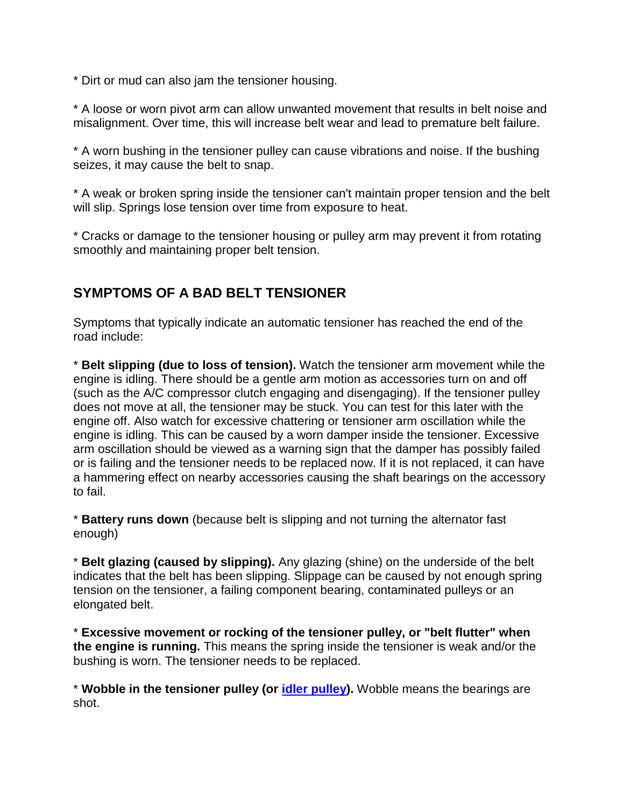\* Dirt or mud can also jam the tensioner housing.

\* A loose or worn pivot arm can allow unwanted movement that results in belt noise and misalignment. Over time, this will increase belt wear and lead to premature belt failure.

\* A worn bushing in the tensioner pulley can cause vibrations and noise. If the bushing seizes, it may cause the belt to snap.

\* A weak or broken spring inside the tensioner can't maintain proper tension and the belt will slip. Springs lose tension over time from exposure to heat.

\* Cracks or damage to the tensioner housing or pulley arm may prevent it from rotating smoothly and maintaining proper belt tension.

### **SYMPTOMS OF A BAD BELT TENSIONER**

Symptoms that typically indicate an automatic tensioner has reached the end of the road include:

\* **Belt slipping (due to loss of tension).** Watch the tensioner arm movement while the engine is idling. There should be a gentle arm motion as accessories turn on and off (such as the A/C compressor clutch engaging and disengaging). If the tensioner pulley does not move at all, the tensioner may be stuck. You can test for this later with the engine off. Also watch for excessive chattering or tensioner arm oscillation while the engine is idling. This can be caused by a worn damper inside the tensioner. Excessive arm oscillation should be viewed as a warning sign that the damper has possibly failed or is failing and the tensioner needs to be replaced now. If it is not replaced, it can have a hammering effect on nearby accessories causing the shaft bearings on the accessory to fail.

\* **Battery runs down** (because belt is slipping and not turning the alternator fast enough)

\* **Belt glazing (caused by slipping).** Any glazing (shine) on the underside of the belt indicates that the belt has been slipping. Slippage can be caused by not enough spring tension on the tensioner, a failing component bearing, contaminated pulleys or an elongated belt.

\* **Excessive movement or rocking of the tensioner pulley, or "belt flutter" when the engine is running.** This means the spring inside the tensioner is weak and/or the bushing is worn. The tensioner needs to be replaced.

\* **Wobble in the tensioner pulley (or [idler pulley\)](http://www.aa1car.com/library/kia_idler_pulley_noise.htm).** Wobble means the bearings are shot.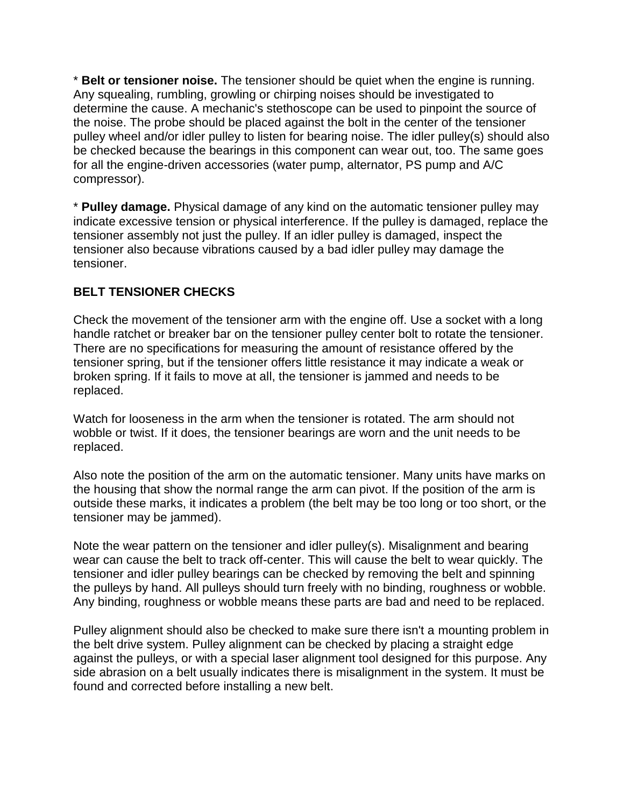\* **Belt or tensioner noise.** The tensioner should be quiet when the engine is running. Any squealing, rumbling, growling or chirping noises should be investigated to determine the cause. A mechanic's stethoscope can be used to pinpoint the source of the noise. The probe should be placed against the bolt in the center of the tensioner pulley wheel and/or idler pulley to listen for bearing noise. The idler pulley(s) should also be checked because the bearings in this component can wear out, too. The same goes for all the engine-driven accessories (water pump, alternator, PS pump and A/C compressor).

\* **Pulley damage.** Physical damage of any kind on the automatic tensioner pulley may indicate excessive tension or physical interference. If the pulley is damaged, replace the tensioner assembly not just the pulley. If an idler pulley is damaged, inspect the tensioner also because vibrations caused by a bad idler pulley may damage the tensioner.

#### **BELT TENSIONER CHECKS**

Check the movement of the tensioner arm with the engine off. Use a socket with a long handle ratchet or breaker bar on the tensioner pulley center bolt to rotate the tensioner. There are no specifications for measuring the amount of resistance offered by the tensioner spring, but if the tensioner offers little resistance it may indicate a weak or broken spring. If it fails to move at all, the tensioner is jammed and needs to be replaced.

Watch for looseness in the arm when the tensioner is rotated. The arm should not wobble or twist. If it does, the tensioner bearings are worn and the unit needs to be replaced.

Also note the position of the arm on the automatic tensioner. Many units have marks on the housing that show the normal range the arm can pivot. If the position of the arm is outside these marks, it indicates a problem (the belt may be too long or too short, or the tensioner may be jammed).

Note the wear pattern on the tensioner and idler pulley(s). Misalignment and bearing wear can cause the belt to track off-center. This will cause the belt to wear quickly. The tensioner and idler pulley bearings can be checked by removing the belt and spinning the pulleys by hand. All pulleys should turn freely with no binding, roughness or wobble. Any binding, roughness or wobble means these parts are bad and need to be replaced.

Pulley alignment should also be checked to make sure there isn't a mounting problem in the belt drive system. Pulley alignment can be checked by placing a straight edge against the pulleys, or with a special laser alignment tool designed for this purpose. Any side abrasion on a belt usually indicates there is misalignment in the system. It must be found and corrected before installing a new belt.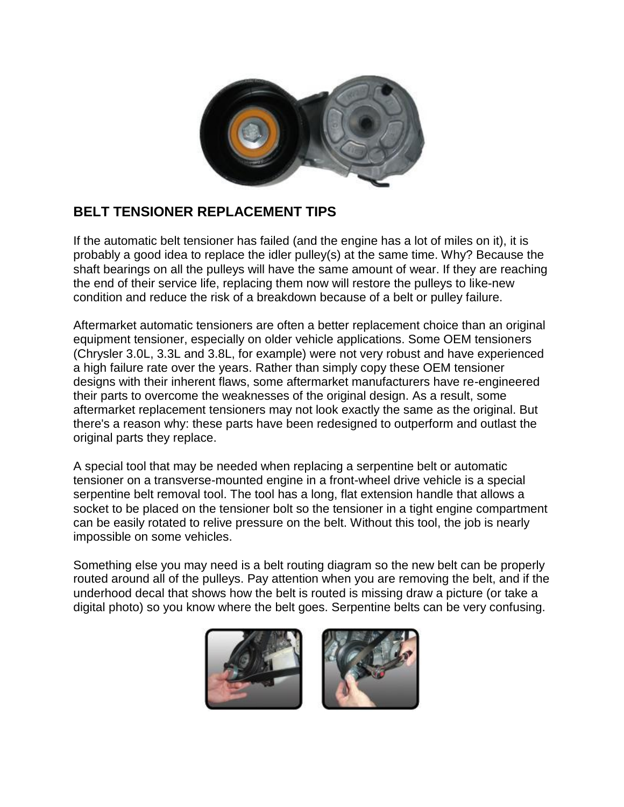

# **BELT TENSIONER REPLACEMENT TIPS**

If the automatic belt tensioner has failed (and the engine has a lot of miles on it), it is probably a good idea to replace the idler pulley(s) at the same time. Why? Because the shaft bearings on all the pulleys will have the same amount of wear. If they are reaching the end of their service life, replacing them now will restore the pulleys to like-new condition and reduce the risk of a breakdown because of a belt or pulley failure.

Aftermarket automatic tensioners are often a better replacement choice than an original equipment tensioner, especially on older vehicle applications. Some OEM tensioners (Chrysler 3.0L, 3.3L and 3.8L, for example) were not very robust and have experienced a high failure rate over the years. Rather than simply copy these OEM tensioner designs with their inherent flaws, some aftermarket manufacturers have re-engineered their parts to overcome the weaknesses of the original design. As a result, some aftermarket replacement tensioners may not look exactly the same as the original. But there's a reason why: these parts have been redesigned to outperform and outlast the original parts they replace.

A special tool that may be needed when replacing a serpentine belt or automatic tensioner on a transverse-mounted engine in a front-wheel drive vehicle is a special serpentine belt removal tool. The tool has a long, flat extension handle that allows a socket to be placed on the tensioner bolt so the tensioner in a tight engine compartment can be easily rotated to relive pressure on the belt. Without this tool, the job is nearly impossible on some vehicles.

Something else you may need is a belt routing diagram so the new belt can be properly routed around all of the pulleys. Pay attention when you are removing the belt, and if the underhood decal that shows how the belt is routed is missing draw a picture (or take a digital photo) so you know where the belt goes. Serpentine belts can be very confusing.